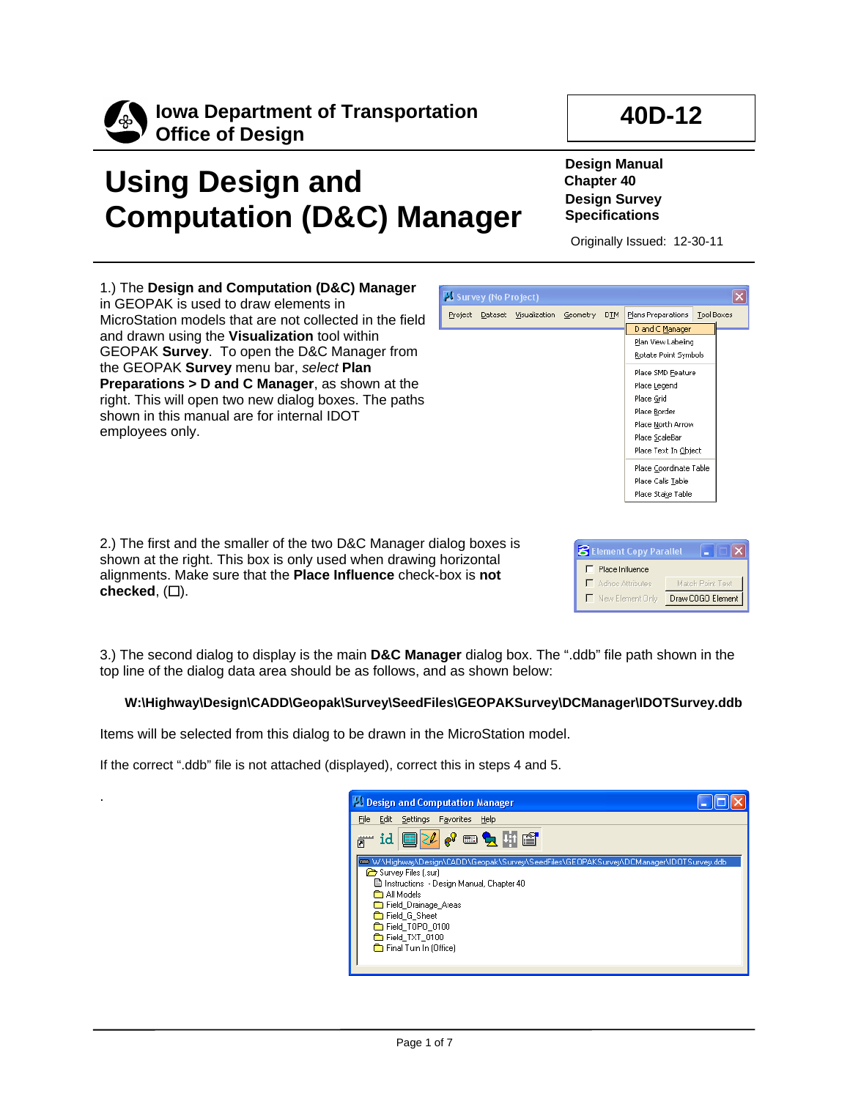

.

**Iowa Department of Transportation Office of Design**

## **Using Design and Computation (D&C) Manager**

**Design Manual Chapter 40 Design Survey Specifications**

Originally Issued: 12-30-11

**40D-12**

1.) The **Design and Computation (D&C) Manager** in GEOPAK is used to draw elements in MicroStation models that are not collected in the field and drawn using the **Visualization** tool within GEOPAK **Survey**. To open the D&C Manager from the GEOPAK **Survey** menu bar, *select* **Plan Preparations > D and C Manager**, as shown at the right. This will open two new dialog boxes. The paths shown in this manual are for internal IDOT employees only.

2.) The first and the smaller of the two D&C Manager dialog boxes is shown at the right. This box is only used when drawing horizontal alignments. Make sure that the **Place Influence** check-box is **not**  checked,  $(\Box)$ .

**8** Element Copy Parallel ш  $\Box$  Place Influence Adhoc Attributes Match Point Text New Element Only Draw COGO Element

3.) The second dialog to display is the main **D&C Manager** dialog box. The ".ddb" file path shown in the top line of the dialog data area should be as follows, and as shown below:

## **W:\Highway\Design\CADD\Geopak\Survey\SeedFiles\GEOPAKSurvey\DCManager\IDOTSurvey.ddb**

Items will be selected from this dialog to be drawn in the MicroStation model.

If the correct ".ddb" file is not attached (displayed), correct this in steps 4 and 5.



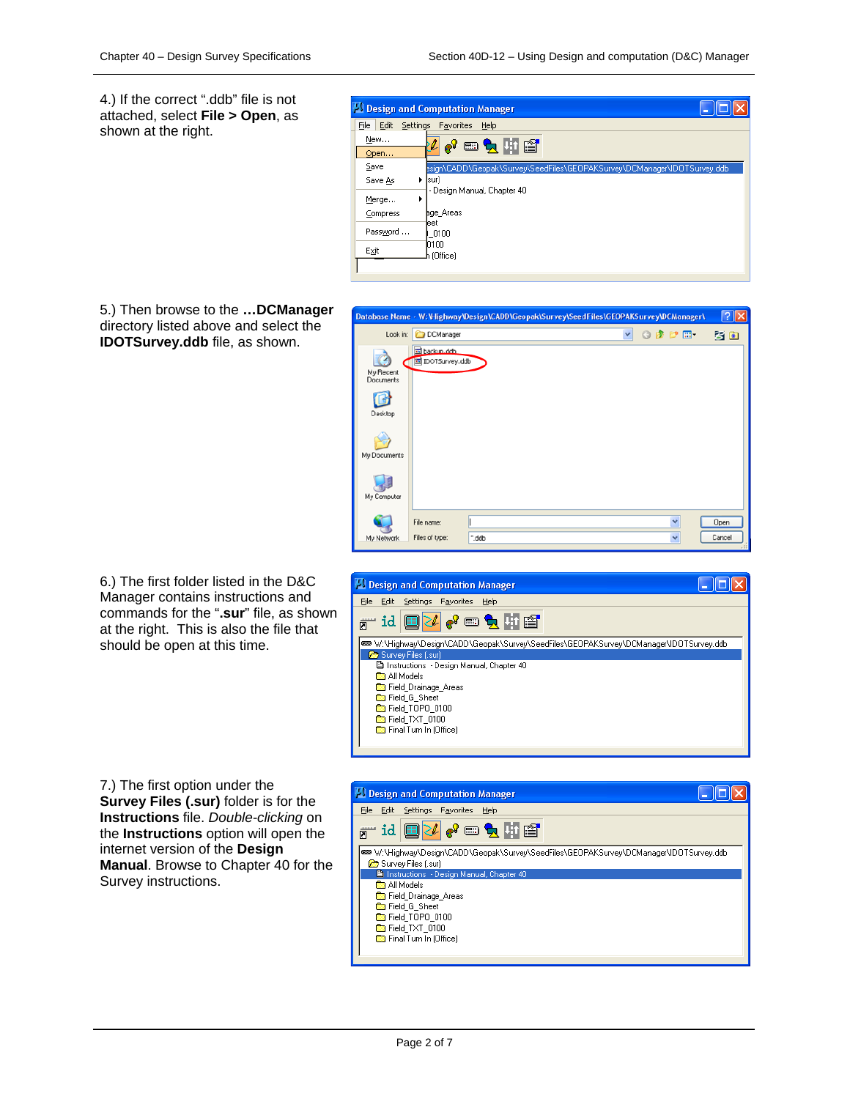$\sqrt{2}$ 

30

 $\Box$ ok

 $\vee$  000

4.) If the correct ".ddb" file is not attached, select **File > Open**, as shown at the right.



Database Name - W:\Highway\Design\CADD\Geopak\Survey\SeedFiles\GEOPAKSurvey\DCManager\

Look in: DCManager

Ò

backup.ddh

Design and Computation Manager File Edit Settings Favorites Help

Survey Files (.su

**Co** All Models Field\_Drainage\_Areas **Executed** G Sheet Field\_TOPO\_0100 Field\_TXT\_0100 Final Turn In (Office)

@™id <mark>@}%</mark> ®® & Hi

Instructions - Design Manual, Chapter 40

IDOTSurvey.ddb

5.) Then browse to the **…DCManager**  directory listed above and select the **IDOTSurvey.ddb** file, as shown.



www.y.Highway\Design\CADD\Geopak\Survey\SeedFiles\GEOPAKSurvey\DCManager\IDOTSurvey.ddb%\@





7.) The first option under the **Survey Files (.sur)** folder is for the **Instructions** file. *Double-clicking* on the **Instructions** option will open the internet version of the **Design Manual**. Browse to Chapter 40 for the Survey instructions.

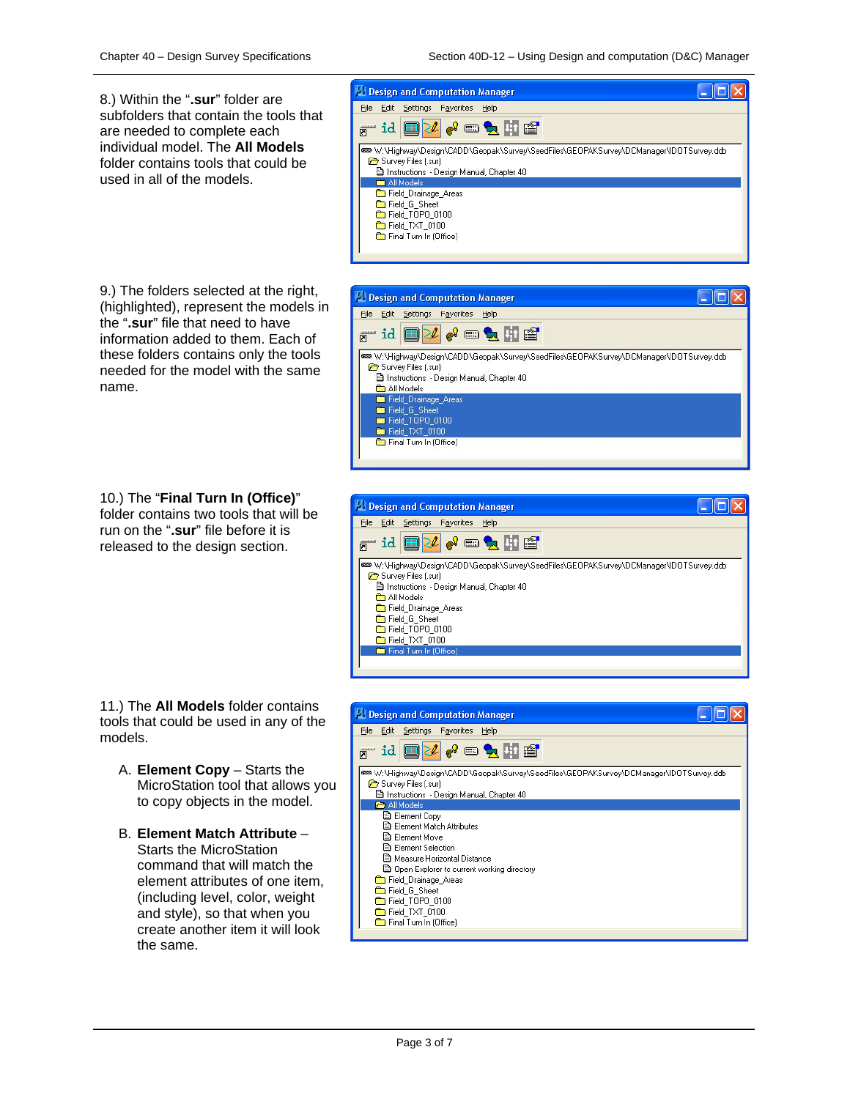8.) Within the "**.sur**" folder are subfolders that contain the tools that are needed to complete each individual model. The **All Models** folder contains tools that could be used in all of the models.

9.) The folders selected at the right, (highlighted), represent the models in the "**.sur**" file that need to have information added to them. Each of these folders contains only the tools needed for the model with the same name.

10.) The "**Final Turn In (Office)**" folder contains two tools that will be run on the "**.sur**" file before it is released to the design section.

11.) The **All Models** folder contains tools that could be used in any of the models.

- A. **Element Copy**  Starts the MicroStation tool that allows you to copy objects in the model.
- B. **Element Match Attribute**  Starts the MicroStation command that will match the element attributes of one item, (including level, color, weight and style), so that when you create another item it will look the same.









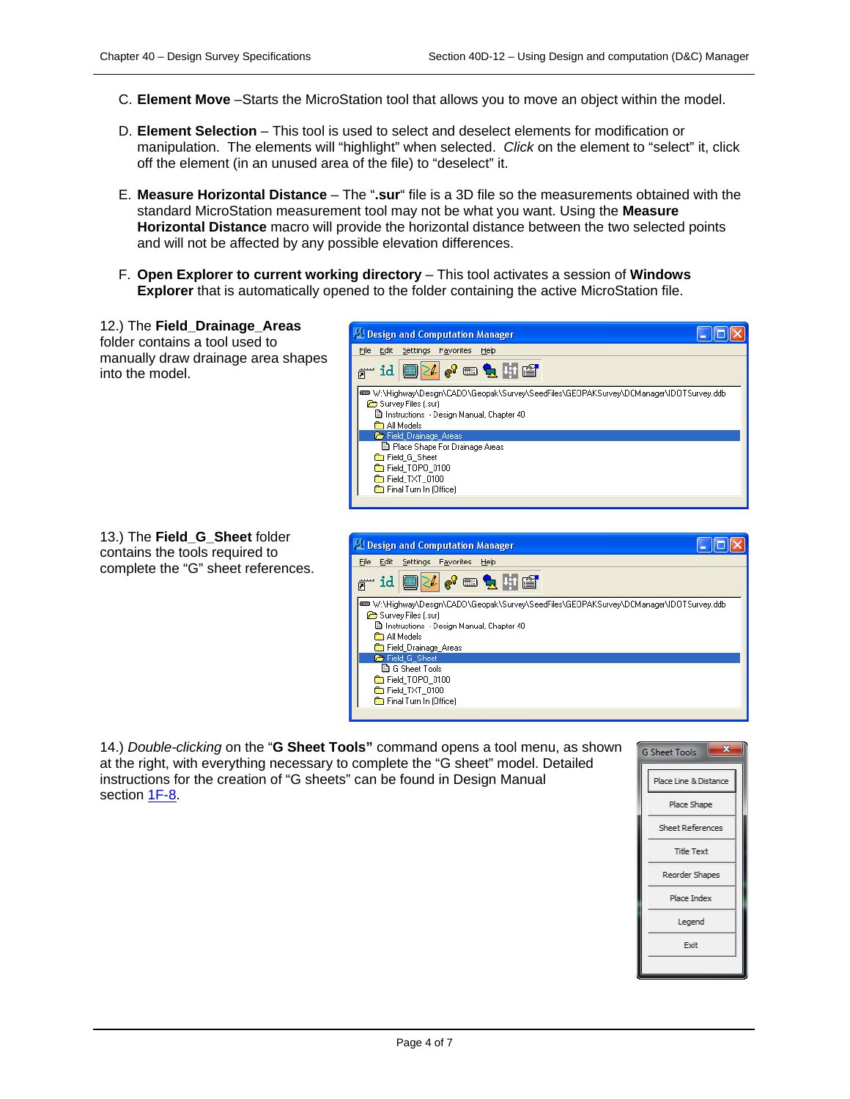- C. **Element Move** –Starts the MicroStation tool that allows you to move an object within the model.
- D. **Element Selection** This tool is used to select and deselect elements for modification or manipulation. The elements will "highlight" when selected. *Click* on the element to "select" it, click off the element (in an unused area of the file) to "deselect" it.
- E. **Measure Horizontal Distance**  The "**.sur**" file is a 3D file so the measurements obtained with the standard MicroStation measurement tool may not be what you want. Using the **Measure Horizontal Distance** macro will provide the horizontal distance between the two selected points and will not be affected by any possible elevation differences.
- F. **Open Explorer to current working directory** This tool activates a session of **Windows Explorer** that is automatically opened to the folder containing the active MicroStation file.

12.) The **Field\_Drainage\_Areas**  folder contains a tool used to manually draw drainage area shapes into the model.

| 13.) The Field_G_Sheet folder      |
|------------------------------------|
| contains the tools required to     |
| complete the "G" sheet references. |





14.) *Double-clicking* on the "**G Sheet Tools"** command opens a tool menu, as shown at the right, with everything necessary to complete the "G sheet" model. Detailed instructions for the creation of "G sheets" can be found in Design Manual section 1F-8.

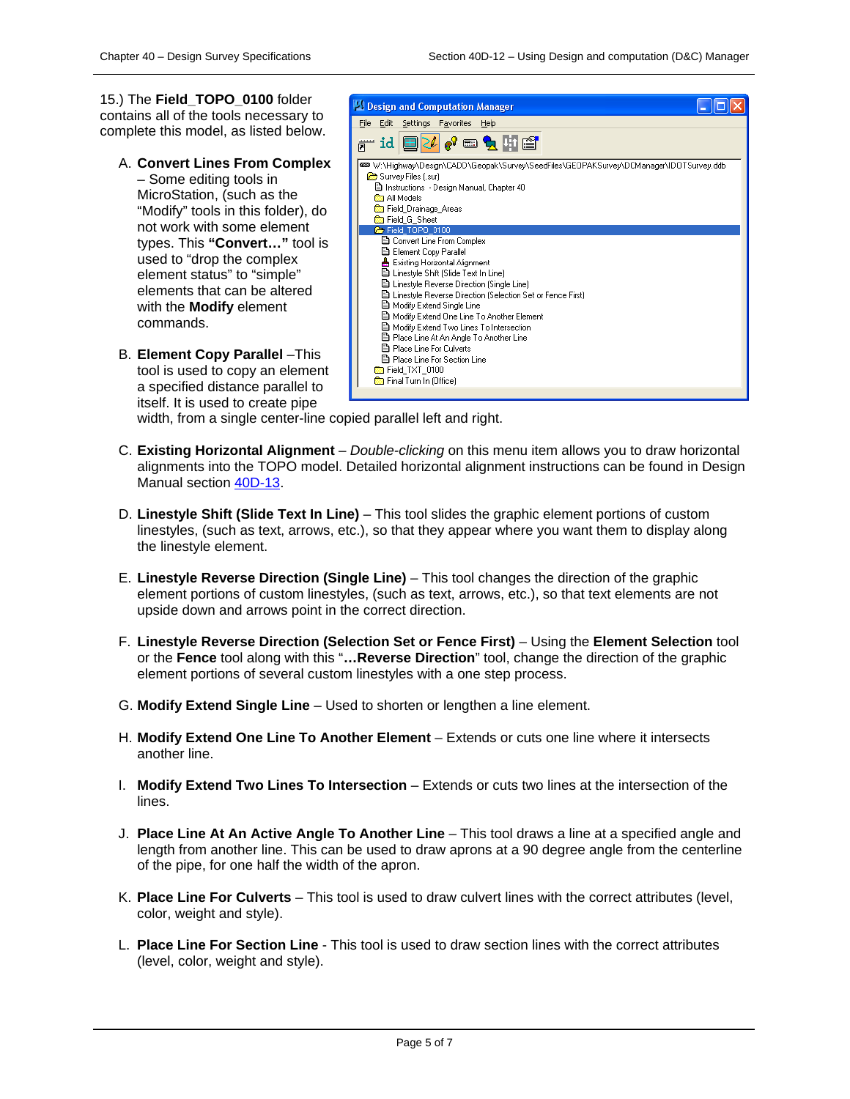15.) The **Field\_TOPO\_0100** folder contains all of the tools necessary to complete this model, as listed below.

A. **Convert Lines From Complex**

– Some editing tools in MicroStation, (such as the "Modify" tools in this folder), do not work with some element types. This **"Convert…"** tool is used to "drop the complex element status" to "simple" elements that can be altered with the **Modify** element commands.

B. **Element Copy Parallel** –This tool is used to copy an element a specified distance parallel to itself. It is used to create pipe



width, from a single center-line copied parallel left and right.

- C. **Existing Horizontal Alignment**  *Double-clicking* on this menu item allows you to draw horizontal alignments into the TOPO model. Detailed horizontal alignment instructions can be found in Design Manual section 40D-13.
- D. **Linestyle Shift (Slide Text In Line)**  This tool slides the graphic element portions of custom linestyles, (such as text, arrows, etc.), so that they appear where you want them to display along the linestyle element.
- E. **Linestyle Reverse Direction (Single Line)**  This tool changes the direction of the graphic element portions of custom linestyles, (such as text, arrows, etc.), so that text elements are not upside down and arrows point in the correct direction.
- F. **Linestyle Reverse Direction (Selection Set or Fence First)**  Using the **Element Selection** tool or the **Fence** tool along with this "**…Reverse Direction**" tool, change the direction of the graphic element portions of several custom linestyles with a one step process.
- G. **Modify Extend Single Line**  Used to shorten or lengthen a line element.
- H. **Modify Extend One Line To Another Element**  Extends or cuts one line where it intersects another line.
- I. **Modify Extend Two Lines To Intersection**  Extends or cuts two lines at the intersection of the lines.
- J. **Place Line At An Active Angle To Another Line**  This tool draws a line at a specified angle and length from another line. This can be used to draw aprons at a 90 degree angle from the centerline of the pipe, for one half the width of the apron.
- K. **Place Line For Culverts**  This tool is used to draw culvert lines with the correct attributes (level, color, weight and style).
- L. **Place Line For Section Line**  This tool is used to draw section lines with the correct attributes (level, color, weight and style).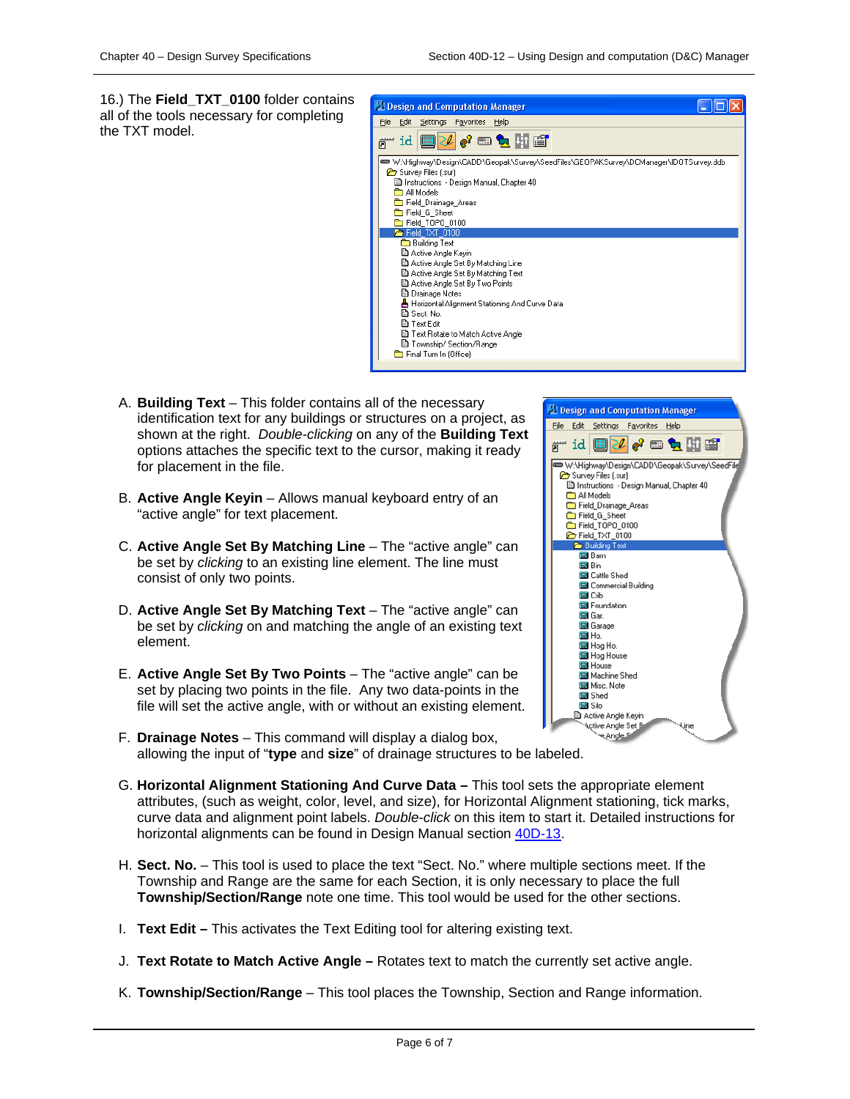16.) The **Field\_TXT\_0100** folder contains all of the tools necessary for completing the TXT model.



- A. **Building Text** This folder contains all of the necessary identification text for any buildings or structures on a project, as shown at the right. *Double-clicking* on any of the **Building Text** options attaches the specific text to the cursor, making it ready for placement in the file.
- B. **Active Angle Keyin** Allows manual keyboard entry of an "active angle" for text placement.
- C. **Active Angle Set By Matching Line**  The "active angle" can be set by *clicking* to an existing line element. The line must consist of only two points.
- D. **Active Angle Set By Matching Text** The "active angle" can be set by *clicking* on and matching the angle of an existing text element.
- E. **Active Angle Set By Two Points**  The "active angle" can be set by placing two points in the file. Any two data-points in the file will set the active angle, with or without an existing element.
- F. **Drainage Notes**  This command will display a dialog box, allowing the input of "**type** and **size**" of drainage structures to be labeled.
- G. **Horizontal Alignment Stationing And Curve Data –** This tool sets the appropriate element attributes, (such as weight, color, level, and size), for Horizontal Alignment stationing, tick marks, curve data and alignment point labels. *Double-click* on this item to start it. Detailed instructions for horizontal alignments can be found in Design Manual section 40D-13.
- H. **Sect. No.** This tool is used to place the text "Sect. No." where multiple sections meet. If the Township and Range are the same for each Section, it is only necessary to place the full **Township/Section/Range** note one time. This tool would be used for the other sections.
- I. **Text Edit –** This activates the Text Editing tool for altering existing text.
- J. **Text Rotate to Match Active Angle –** Rotates text to match the currently set active angle.
- K. **Township/Section/Range** This tool places the Township, Section and Range information.

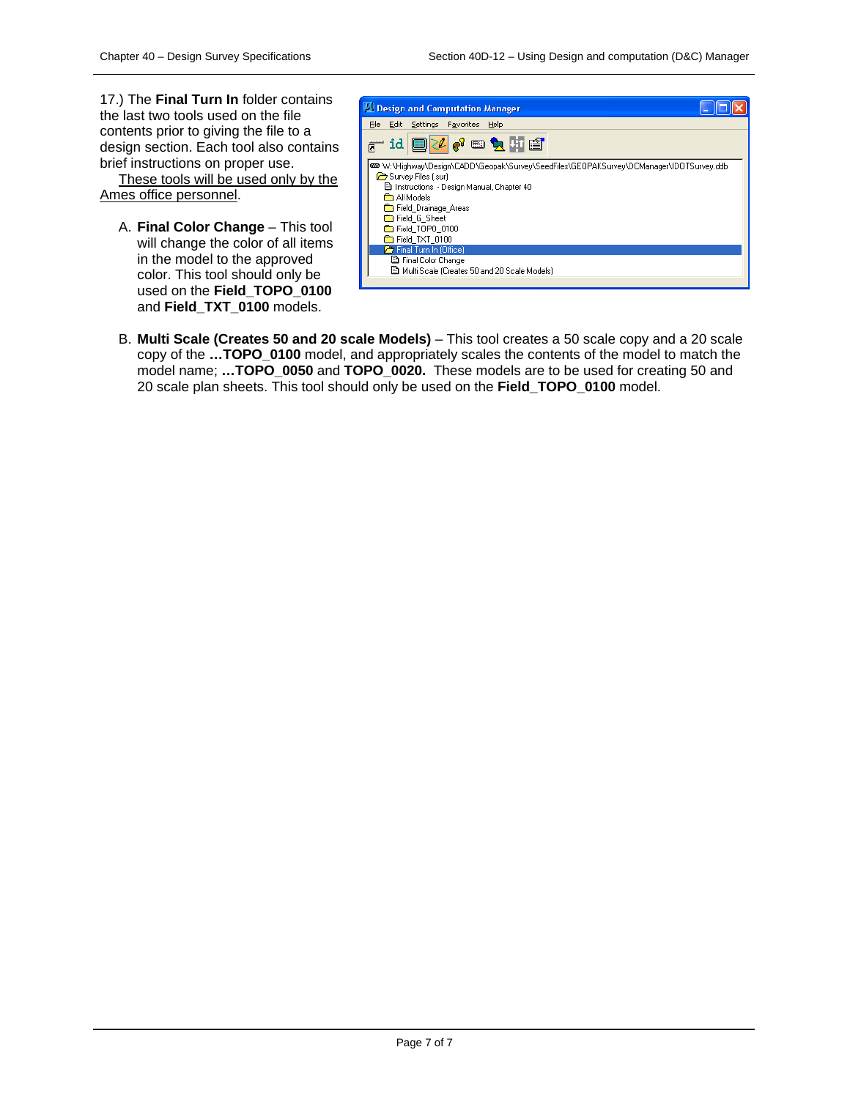17.) The **Final Turn In** folder contains the last two tools used on the file contents prior to giving the file to a design section. Each tool also contains brief instructions on proper use.

These tools will be used only by the Ames office personnel.

A. **Final Color Change** – This tool will change the color of all items in the model to the approved color. This tool should only be used on the **Field\_TOPO\_0100** and **Field\_TXT\_0100** models.



B. **Multi Scale (Creates 50 and 20 scale Models)** – This tool creates a 50 scale copy and a 20 scale copy of the **…TOPO\_0100** model, and appropriately scales the contents of the model to match the model name; **…TOPO\_0050** and **TOPO\_0020.** These models are to be used for creating 50 and 20 scale plan sheets. This tool should only be used on the **Field\_TOPO\_0100** model.